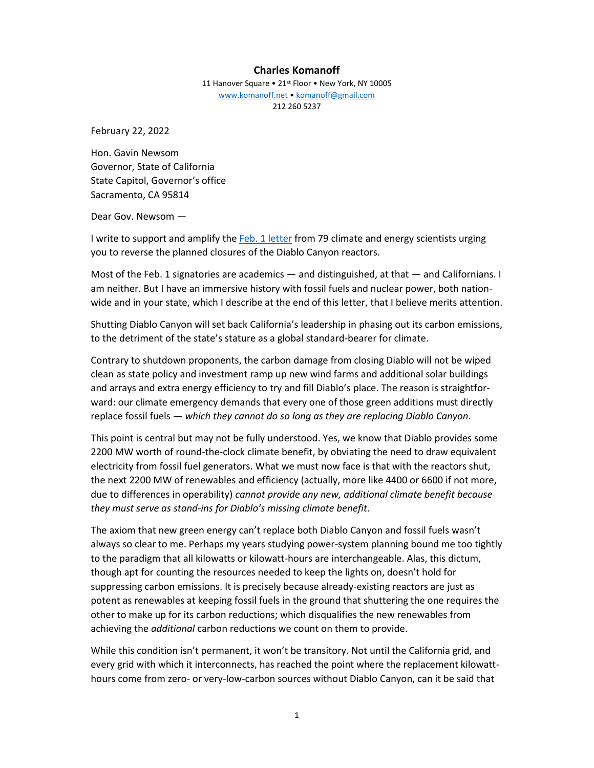## **Charles Komanoff**

11 Hanover Square • 21<sup>st</sup> Floor • New York, NY 10005 [www.komanoff.net](http://www.komanoff.net/) • [komanoff@gmail.com](mailto:komanoff@gmail.com) 212 260 5237

February 22, 2022

Hon. Gavin Newsom Governor, State of California State Capitol, Governor's office Sacramento, CA 95814

Dear Gov. Newsom —

I write to support and amplify th[e Feb. 1 letter](https://drive.google.com/file/d/1wpKHHQD9IVHDQOQPLMFYIHPt5x0kLm0_/view) from 79 climate and energy scientists urging you to reverse the planned closures of the Diablo Canyon reactors.

Most of the Feb. 1 signatories are academics — and distinguished, at that — and Californians. I am neither. But I have an immersive history with fossil fuels and nuclear power, both nationwide and in your state, which I describe at the end of this letter, that I believe merits attention.

Shutting Diablo Canyon will set back California's leadership in phasing out its carbon emissions, to the detriment of the state's stature as a global standard-bearer for climate.

Contrary to shutdown proponents, the carbon damage from closing Diablo will not be wiped clean as state policy and investment ramp up new wind farms and additional solar buildings and arrays and extra energy efficiency to try and fill Diablo's place. The reason is straightforward: our climate emergency demands that every one of those green additions must directly replace fossil fuels — *which they cannot do so long as they are replacing Diablo Canyon*.

This point is central but may not be fully understood. Yes, we know that Diablo provides some 2200 MW worth of round-the-clock climate benefit, by obviating the need to draw equivalent electricity from fossil fuel generators. What we must now face is that with the reactors shut, the next 2200 MW of renewables and efficiency (actually, more like 4400 or 6600 if not more, due to differences in operability) *cannot provide any new, additional climate benefit because they must serve as stand-ins for Diablo's missing climate benefit*.

The axiom that new green energy can't replace both Diablo Canyon and fossil fuels wasn't always so clear to me. Perhaps my years studying power-system planning bound me too tightly to the paradigm that all kilowatts or kilowatt-hours are interchangeable. Alas, this dictum, though apt for counting the resources needed to keep the lights on, doesn't hold for suppressing carbon emissions. It is precisely because already-existing reactors are just as potent as renewables at keeping fossil fuels in the ground that shuttering the one requires the other to make up for its carbon reductions; which disqualifies the new renewables from achieving the *additional* carbon reductions we count on them to provide.

While this condition isn't permanent, it won't be transitory. Not until the California grid, and every grid with which it interconnects, has reached the point where the replacement kilowatthours come from zero- or very-low-carbon sources without Diablo Canyon, can it be said that